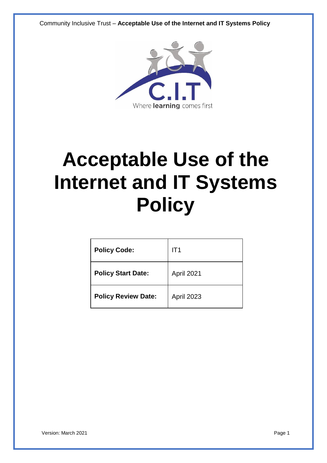Community Inclusive Trust – **Acceptable Use of the Internet and IT Systems Policy**



# **Acceptable Use of the Internet and IT Systems Policy**

| <b>Policy Code:</b>        | IT <sub>1</sub>   |
|----------------------------|-------------------|
| <b>Policy Start Date:</b>  | April 2021        |
| <b>Policy Review Date:</b> | <b>April 2023</b> |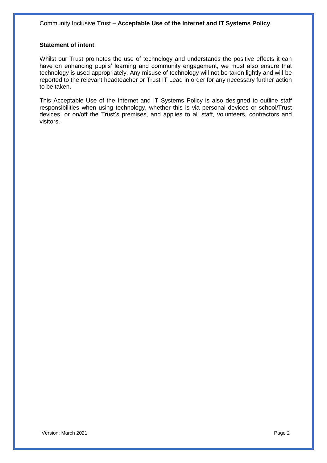#### **Statement of intent**

Whilst our Trust promotes the use of technology and understands the positive effects it can have on enhancing pupils' learning and community engagement, we must also ensure that technology is used appropriately. Any misuse of technology will not be taken lightly and will be reported to the relevant headteacher or Trust IT Lead in order for any necessary further action to be taken.

This Acceptable Use of the Internet and IT Systems Policy is also designed to outline staff responsibilities when using technology, whether this is via personal devices or school/Trust devices, or on/off the Trust's premises, and applies to all staff, volunteers, contractors and visitors.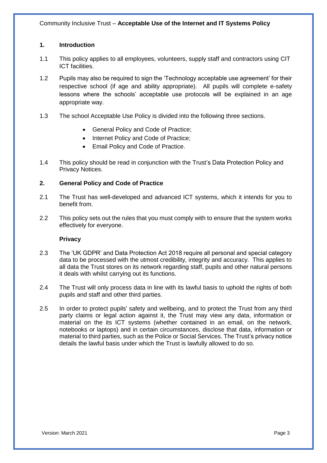# **1. Introduction**

- 1.1 This policy applies to all employees, volunteers, supply staff and contractors using CIT ICT facilities.
- 1.2 Pupils may also be required to sign the 'Technology acceptable use agreement' for their respective school (if age and ability appropriate). All pupils will complete e-safety lessons where the schools' acceptable use protocols will be explained in an age appropriate way.
- 1.3 The school Acceptable Use Policy is divided into the following three sections.
	- General Policy and Code of Practice;
	- Internet Policy and Code of Practice;
	- Email Policy and Code of Practice.
- 1.4 This policy should be read in conjunction with the Trust's Data Protection Policy and Privacy Notices.

# **2. General Policy and Code of Practice**

- 2.1 The Trust has well-developed and advanced ICT systems, which it intends for you to benefit from.
- 2.2 This policy sets out the rules that you must comply with to ensure that the system works effectively for everyone.

# **Privacy**

- 2.3 The 'UK GDPR' and Data Protection Act 2018 require all personal and special category data to be processed with the utmost credibility, integrity and accuracy. This applies to all data the Trust stores on its network regarding staff, pupils and other natural persons it deals with whilst carrying out its functions.
- 2.4 The Trust will only process data in line with its lawful basis to uphold the rights of both pupils and staff and other third parties.
- 2.5 In order to protect pupils' safety and wellbeing, and to protect the Trust from any third party claims or legal action against it, the Trust may view any data, information or material on the its ICT systems (whether contained in an email, on the network, notebooks or laptops) and in certain circumstances, disclose that data, information or material to third parties, such as the Police or Social Services. The Trust's privacy notice details the lawful basis under which the Trust is lawfully allowed to do so.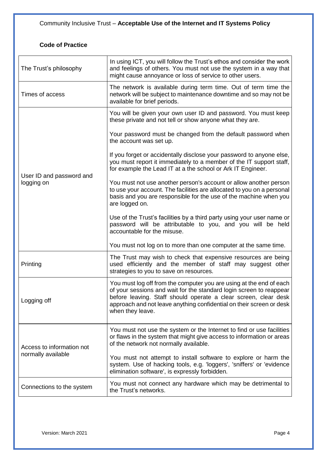# **Code of Practice**

| The Trust's philosophy                                                                                                                                                                  | In using ICT, you will follow the Trust's ethos and consider the work<br>and feelings of others. You must not use the system in a way that<br>might cause annoyance or loss of service to other users.                                                                                                    |
|-----------------------------------------------------------------------------------------------------------------------------------------------------------------------------------------|-----------------------------------------------------------------------------------------------------------------------------------------------------------------------------------------------------------------------------------------------------------------------------------------------------------|
| The network is available during term time. Out of term time the<br>network will be subject to maintenance downtime and so may not be<br>Times of access<br>available for brief periods. |                                                                                                                                                                                                                                                                                                           |
|                                                                                                                                                                                         | You will be given your own user ID and password. You must keep<br>these private and not tell or show anyone what they are.                                                                                                                                                                                |
|                                                                                                                                                                                         | Your password must be changed from the default password when<br>the account was set up.                                                                                                                                                                                                                   |
|                                                                                                                                                                                         | If you forget or accidentally disclose your password to anyone else,<br>you must report it immediately to a member of the IT support staff,<br>for example the Lead IT at a the school or Ark IT Engineer.                                                                                                |
| User ID and password and<br>logging on                                                                                                                                                  | You must not use another person's account or allow another person<br>to use your account. The facilities are allocated to you on a personal<br>basis and you are responsible for the use of the machine when you<br>are logged on.                                                                        |
|                                                                                                                                                                                         | Use of the Trust's facilities by a third party using your user name or<br>password will be attributable to you, and you will be held<br>accountable for the misuse.                                                                                                                                       |
|                                                                                                                                                                                         | You must not log on to more than one computer at the same time.                                                                                                                                                                                                                                           |
| Printing                                                                                                                                                                                | The Trust may wish to check that expensive resources are being<br>used efficiently and the member of staff may suggest other<br>strategies to you to save on resources.                                                                                                                                   |
| Logging off                                                                                                                                                                             | You must log off from the computer you are using at the end of each<br>of your sessions and wait for the standard login screen to reappear<br>before leaving. Staff should operate a clear screen, clear desk<br>approach and not leave anything confidential on their screen or desk<br>when they leave. |
| Access to information not<br>normally available                                                                                                                                         | You must not use the system or the Internet to find or use facilities<br>or flaws in the system that might give access to information or areas<br>of the network not normally available.                                                                                                                  |
|                                                                                                                                                                                         | You must not attempt to install software to explore or harm the<br>system. Use of hacking tools, e.g. 'loggers', 'sniffers' or 'evidence<br>elimination software', is expressly forbidden.                                                                                                                |
| Connections to the system                                                                                                                                                               | You must not connect any hardware which may be detrimental to<br>the Trust's networks.                                                                                                                                                                                                                    |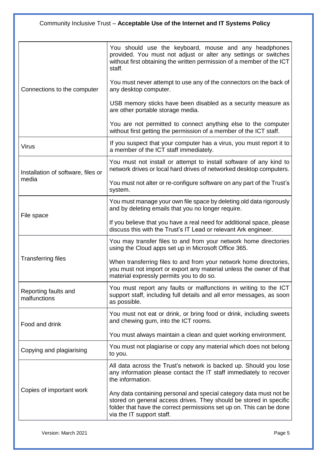| Connections to the computer                 | You should use the keyboard, mouse and any headphones<br>provided. You must not adjust or alter any settings or switches<br>without first obtaining the written permission of a member of the ICT<br>staff.<br>You must never attempt to use any of the connectors on the back of<br>any desktop computer.<br>USB memory sticks have been disabled as a security measure as<br>are other portable storage media. |
|---------------------------------------------|------------------------------------------------------------------------------------------------------------------------------------------------------------------------------------------------------------------------------------------------------------------------------------------------------------------------------------------------------------------------------------------------------------------|
|                                             | You are not permitted to connect anything else to the computer<br>without first getting the permission of a member of the ICT staff.                                                                                                                                                                                                                                                                             |
| <b>Virus</b>                                | If you suspect that your computer has a virus, you must report it to<br>a member of the ICT staff immediately.                                                                                                                                                                                                                                                                                                   |
| Installation of software, files or<br>media | You must not install or attempt to install software of any kind to<br>network drives or local hard drives of networked desktop computers.                                                                                                                                                                                                                                                                        |
|                                             | You must not alter or re-configure software on any part of the Trust's<br>system.                                                                                                                                                                                                                                                                                                                                |
| File space                                  | You must manage your own file space by deleting old data rigorously<br>and by deleting emails that you no longer require.                                                                                                                                                                                                                                                                                        |
|                                             | If you believe that you have a real need for additional space, please<br>discuss this with the Trust's IT Lead or relevant Ark engineer.                                                                                                                                                                                                                                                                         |
|                                             | You may transfer files to and from your network home directories<br>using the Cloud apps set up in Microsoft Office 365.                                                                                                                                                                                                                                                                                         |
| <b>Transferring files</b>                   | When transferring files to and from your network home directories,<br>you must not import or export any material unless the owner of that<br>material expressly permits you to do so.                                                                                                                                                                                                                            |
| Reporting faults and<br>malfunctions        | You must report any faults or malfunctions in writing to the ICT<br>support staff, including full details and all error messages, as soon<br>as possible.                                                                                                                                                                                                                                                        |
| Food and drink                              | You must not eat or drink, or bring food or drink, including sweets<br>and chewing gum, into the ICT rooms.                                                                                                                                                                                                                                                                                                      |
|                                             | You must always maintain a clean and quiet working environment.                                                                                                                                                                                                                                                                                                                                                  |
| Copying and plagiarising                    | You must not plagiarise or copy any material which does not belong<br>to you.                                                                                                                                                                                                                                                                                                                                    |
|                                             | All data across the Trust's network is backed up. Should you lose<br>any information please contact the IT staff immediately to recover<br>the information.                                                                                                                                                                                                                                                      |
| Copies of important work                    | Any data containing personal and special category data must not be<br>stored on general access drives. They should be stored in specific<br>folder that have the correct permissions set up on. This can be done<br>via the IT support staff.                                                                                                                                                                    |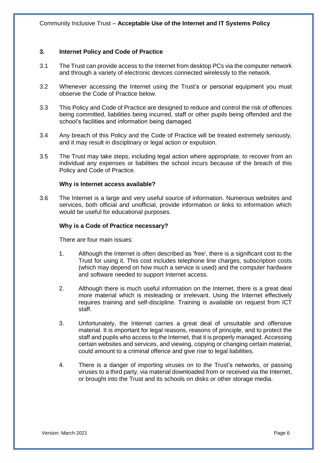#### **3. Internet Policy and Code of Practice**

- 3.1 The Trust can provide access to the Internet from desktop PCs via the computer network and through a variety of electronic devices connected wirelessly to the network.
- 3.2 Whenever accessing the Internet using the Trust's or personal equipment you must observe the Code of Practice below.
- 3.3 This Policy and Code of Practice are designed to reduce and control the risk of offences being committed, liabilities being incurred, staff or other pupils being offended and the school's facilities and information being damaged.
- 3.4 Any breach of this Policy and the Code of Practice will be treated extremely seriously, and it may result in disciplinary or legal action or expulsion.
- 3.5 The Trust may take steps, including legal action where appropriate, to recover from an individual any expenses or liabilities the school incurs because of the breach of this Policy and Code of Practice.

#### **Why is Internet access available?**

3.6 The Internet is a large and very useful source of information. Numerous websites and services, both official and unofficial, provide information or links to information which would be useful for educational purposes.

#### **Why is a Code of Practice necessary?**

There are four main issues:

- 1. Although the Internet is often described as 'free', there is a significant cost to the Trust for using it. This cost includes telephone line charges, subscription costs (which may depend on how much a service is used) and the computer hardware and software needed to support Internet access.
- 2. Although there is much useful information on the Internet, there is a great deal more material which is misleading or irrelevant. Using the Internet effectively requires training and self-discipline. Training is available on request from ICT staff.
- 3. Unfortunately, the Internet carries a great deal of unsuitable and offensive material. It is important for legal reasons, reasons of principle, and to protect the staff and pupils who access to the Internet, that it is properly managed. Accessing certain websites and services, and viewing, copying or changing certain material, could amount to a criminal offence and give rise to legal liabilities.
- 4. There is a danger of importing viruses on to the Trust's networks, or passing viruses to a third party, via material downloaded from or received via the Internet, or brought into the Trust and its schools on disks or other storage media.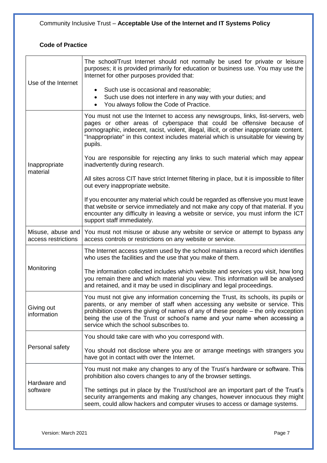# **Code of Practice**

| Use of the Internet                      | The school/Trust Internet should not normally be used for private or leisure<br>purposes; it is provided primarily for education or business use. You may use the<br>Internet for other purposes provided that:<br>Such use is occasional and reasonable;<br>Such use does not interfere in any way with your duties; and<br>٠<br>You always follow the Code of Practice.        |
|------------------------------------------|----------------------------------------------------------------------------------------------------------------------------------------------------------------------------------------------------------------------------------------------------------------------------------------------------------------------------------------------------------------------------------|
| Inappropriate<br>material                | You must not use the Internet to access any newsgroups, links, list-servers, web<br>pages or other areas of cyberspace that could be offensive because of<br>pornographic, indecent, racist, violent, illegal, illicit, or other inappropriate content.<br>"Inappropriate" in this context includes material which is unsuitable for viewing by<br>pupils.                       |
|                                          | You are responsible for rejecting any links to such material which may appear<br>inadvertently during research.                                                                                                                                                                                                                                                                  |
|                                          | All sites across CIT have strict Internet filtering in place, but it is impossible to filter<br>out every inappropriate website.                                                                                                                                                                                                                                                 |
|                                          | If you encounter any material which could be regarded as offensive you must leave<br>that website or service immediately and not make any copy of that material. If you<br>encounter any difficulty in leaving a website or service, you must inform the ICT<br>support staff immediately.                                                                                       |
| Misuse, abuse and<br>access restrictions | You must not misuse or abuse any website or service or attempt to bypass any<br>access controls or restrictions on any website or service.                                                                                                                                                                                                                                       |
| Monitoring                               | The Internet access system used by the school maintains a record which identifies<br>who uses the facilities and the use that you make of them.                                                                                                                                                                                                                                  |
|                                          | The information collected includes which website and services you visit, how long<br>you remain there and which material you view. This information will be analysed<br>and retained, and it may be used in disciplinary and legal proceedings.                                                                                                                                  |
| Giving out<br>information                | You must not give any information concerning the Trust, its schools, its pupils or<br>parents, or any member of staff when accessing any website or service. This<br>prohibition covers the giving of names of any of these people – the only exception<br>being the use of the Trust or school's name and your name when accessing a<br>service which the school subscribes to. |
|                                          | You should take care with who you correspond with.                                                                                                                                                                                                                                                                                                                               |
| Personal safety                          | You should not disclose where you are or arrange meetings with strangers you<br>have got in contact with over the Internet.                                                                                                                                                                                                                                                      |
| Hardware and<br>software                 | You must not make any changes to any of the Trust's hardware or software. This<br>prohibition also covers changes to any of the browser settings.                                                                                                                                                                                                                                |
|                                          | The settings put in place by the Trust/school are an important part of the Trust's<br>security arrangements and making any changes, however innocuous they might<br>seem, could allow hackers and computer viruses to access or damage systems.                                                                                                                                  |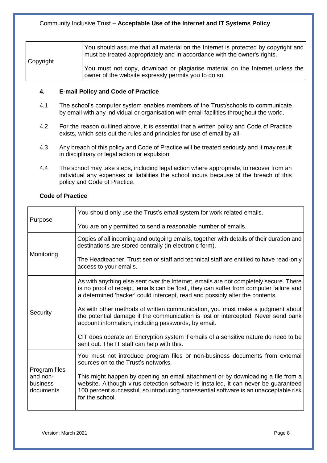| Copyright | You should assume that all material on the Internet is protected by copyright and<br>must be treated appropriately and in accordance with the owner's rights. |
|-----------|---------------------------------------------------------------------------------------------------------------------------------------------------------------|
|           | You must not copy, download or plagiarise material on the Internet unless the<br>owner of the website expressly permits you to do so.                         |

#### **4. E-mail Policy and Code of Practice**

- 4.1 The school's computer system enables members of the Trust/schools to communicate by email with any individual or organisation with email facilities throughout the world.
- 4.2 For the reason outlined above, it is essential that a written policy and Code of Practice exists, which sets out the rules and principles for use of email by all.
- 4.3 Any breach of this policy and Code of Practice will be treated seriously and it may result in disciplinary or legal action or expulsion.
- 4.4 The school may take steps, including legal action where appropriate, to recover from an individual any expenses or liabilities the school incurs because of the breach of this policy and Code of Practice.

# **Code of Practice**

|                                                    | You should only use the Trust's email system for work related emails.                                                                                                                                                                                                              |
|----------------------------------------------------|------------------------------------------------------------------------------------------------------------------------------------------------------------------------------------------------------------------------------------------------------------------------------------|
| Purpose                                            | You are only permitted to send a reasonable number of emails.                                                                                                                                                                                                                      |
| Monitoring                                         | Copies of all incoming and outgoing emails, together with details of their duration and<br>destinations are stored centrally (in electronic form).                                                                                                                                 |
|                                                    | The Headteacher, Trust senior staff and technical staff are entitled to have read-only<br>access to your emails.                                                                                                                                                                   |
| Security                                           | As with anything else sent over the Internet, emails are not completely secure. There<br>is no proof of receipt, emails can be 'lost', they can suffer from computer failure and<br>a determined 'hacker' could intercept, read and possibly alter the contents.                   |
|                                                    | As with other methods of written communication, you must make a judgment about<br>the potential damage if the communication is lost or intercepted. Never send bank<br>account information, including passwords, by email.                                                         |
|                                                    | CIT does operate an Encryption system if emails of a sensitive nature do need to be<br>sent out. The IT staff can help with this.                                                                                                                                                  |
| Program files<br>and non-<br>business<br>documents | You must not introduce program files or non-business documents from external<br>sources on to the Trust's networks.                                                                                                                                                                |
|                                                    | This might happen by opening an email attachment or by downloading a file from a<br>website. Although virus detection software is installed, it can never be guaranteed<br>100 percent successful, so introducing nonessential software is an unacceptable risk<br>for the school. |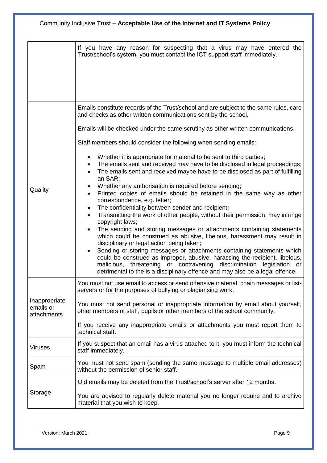|                                           | If you have any reason for suspecting that a virus may have entered the<br>Trust/school's system, you must contact the ICT support staff immediately.                                                                                                                                                                                                                                                                                                                                                                                                                                                                                                                                                                                                                                                                                                                                                                                                                                                                                                                                                                                                                                                                                                                                                                                                                                                                                |
|-------------------------------------------|--------------------------------------------------------------------------------------------------------------------------------------------------------------------------------------------------------------------------------------------------------------------------------------------------------------------------------------------------------------------------------------------------------------------------------------------------------------------------------------------------------------------------------------------------------------------------------------------------------------------------------------------------------------------------------------------------------------------------------------------------------------------------------------------------------------------------------------------------------------------------------------------------------------------------------------------------------------------------------------------------------------------------------------------------------------------------------------------------------------------------------------------------------------------------------------------------------------------------------------------------------------------------------------------------------------------------------------------------------------------------------------------------------------------------------------|
| Quality                                   | Emails constitute records of the Trust/school and are subject to the same rules, care<br>and checks as other written communications sent by the school.<br>Emails will be checked under the same scrutiny as other written communications.<br>Staff members should consider the following when sending emails:<br>Whether it is appropriate for material to be sent to third parties;<br>$\bullet$<br>The emails sent and received may have to be disclosed in legal proceedings;<br>$\bullet$<br>The emails sent and received maybe have to be disclosed as part of fulfilling<br>$\bullet$<br>an SAR;<br>Whether any authorisation is required before sending;<br>$\bullet$<br>Printed copies of emails should be retained in the same way as other<br>$\bullet$<br>correspondence, e.g. letter;<br>The confidentiality between sender and recipient;<br>$\bullet$<br>Transmitting the work of other people, without their permission, may infringe<br>$\bullet$<br>copyright laws;<br>The sending and storing messages or attachments containing statements<br>which could be construed as abusive, libelous, harassment may result in<br>disciplinary or legal action being taken;<br>Sending or storing messages or attachments containing statements which<br>$\bullet$<br>could be construed as improper, abusive, harassing the recipient, libelous,<br>malicious, threatening or contravening discrimination legislation or |
| Inappropriate<br>emails or<br>attachments | detrimental to the is a disciplinary offence and may also be a legal offence.<br>You must not use email to access or send offensive material, chain messages or list-<br>servers or for the purposes of bullying or plagiarising work.<br>You must not send personal or inappropriate information by email about yourself,<br>other members of staff, pupils or other members of the school community.<br>If you receive any inappropriate emails or attachments you must report them to<br>technical staff.                                                                                                                                                                                                                                                                                                                                                                                                                                                                                                                                                                                                                                                                                                                                                                                                                                                                                                                         |
| <b>Viruses</b>                            | If you suspect that an email has a virus attached to it, you must inform the technical<br>staff immediately.                                                                                                                                                                                                                                                                                                                                                                                                                                                                                                                                                                                                                                                                                                                                                                                                                                                                                                                                                                                                                                                                                                                                                                                                                                                                                                                         |
| Spam                                      | You must not send spam (sending the same message to multiple email addresses)<br>without the permission of senior staff.                                                                                                                                                                                                                                                                                                                                                                                                                                                                                                                                                                                                                                                                                                                                                                                                                                                                                                                                                                                                                                                                                                                                                                                                                                                                                                             |
| Storage                                   | Old emails may be deleted from the Trust/school's server after 12 months.<br>You are advised to regularly delete material you no longer require and to archive<br>material that you wish to keep.                                                                                                                                                                                                                                                                                                                                                                                                                                                                                                                                                                                                                                                                                                                                                                                                                                                                                                                                                                                                                                                                                                                                                                                                                                    |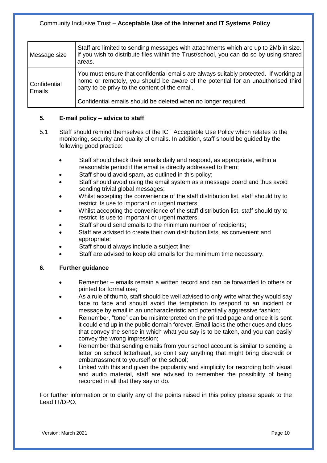# Community Inclusive Trust – **Acceptable Use of the Internet and IT Systems Policy**

| Message size           | Staff are limited to sending messages with attachments which are up to 2Mb in size.<br>If you wish to distribute files within the Trust/school, you can do so by using shared<br>areas.                                     |
|------------------------|-----------------------------------------------------------------------------------------------------------------------------------------------------------------------------------------------------------------------------|
| Confidential<br>Emails | You must ensure that confidential emails are always suitably protected. If working at<br>home or remotely, you should be aware of the potential for an unauthorised third<br>party to be privy to the content of the email. |
|                        | Confidential emails should be deleted when no longer required.                                                                                                                                                              |

# **5. E-mail policy – advice to staff**

- 5.1 Staff should remind themselves of the ICT Acceptable Use Policy which relates to the monitoring, security and quality of emails. In addition, staff should be guided by the following good practice:
	- Staff should check their emails daily and respond, as appropriate, within a reasonable period if the email is directly addressed to them;
	- Staff should avoid spam, as outlined in this policy;
	- Staff should avoid using the email system as a message board and thus avoid sending trivial global messages;
	- Whilst accepting the convenience of the staff distribution list, staff should try to restrict its use to important or urgent matters;
	- Whilst accepting the convenience of the staff distribution list, staff should try to restrict its use to important or urgent matters;
	- Staff should send emails to the minimum number of recipients;
	- Staff are advised to create their own distribution lists, as convenient and appropriate;
	- Staff should always include a subject line;
	- Staff are advised to keep old emails for the minimum time necessary.

#### **6. Further guidance**

- Remember emails remain a written record and can be forwarded to others or printed for formal use;
- As a rule of thumb, staff should be well advised to only write what they would say face to face and should avoid the temptation to respond to an incident or message by email in an uncharacteristic and potentially aggressive fashion;
- Remember, "tone" can be misinterpreted on the printed page and once it is sent it could end up in the public domain forever. Email lacks the other cues and clues that convey the sense in which what you say is to be taken, and you can easily convey the wrong impression;
- Remember that sending emails from your school account is similar to sending a letter on school letterhead, so don't say anything that might bring discredit or embarrassment to yourself or the school;
- Linked with this and given the popularity and simplicity for recording both visual and audio material, staff are advised to remember the possibility of being recorded in all that they say or do.

For further information or to clarify any of the points raised in this policy please speak to the Lead IT/DPO.